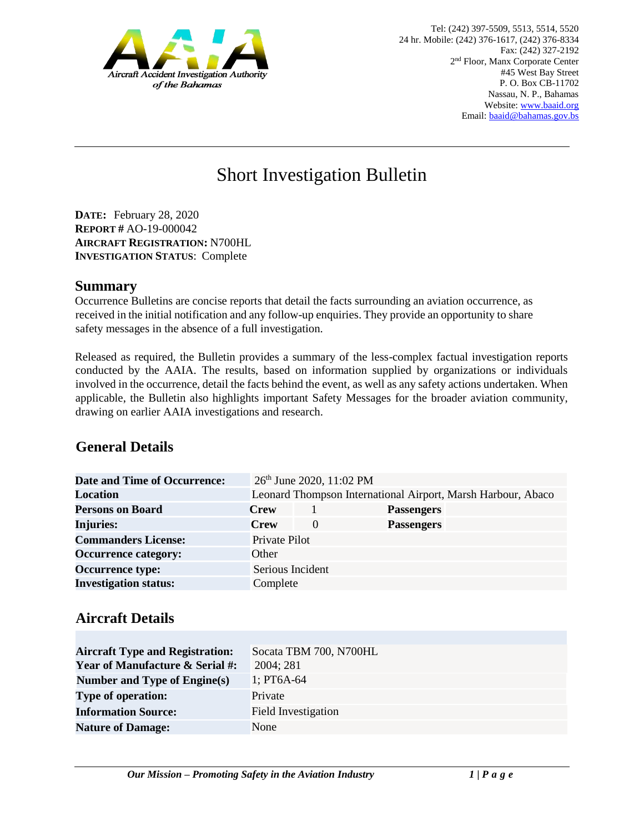

# Short Investigation Bulletin

**DATE:** February 28, 2020 **REPORT #** AO-19-000042 **AIRCRAFT REGISTRATION:** N700HL **INVESTIGATION STATUS**: Complete

#### **Summary**

Occurrence Bulletins are concise reports that detail the facts surrounding an aviation occurrence, as received in the initial notification and any follow-up enquiries. They provide an opportunity to share safety messages in the absence of a full investigation*.* 

Released as required, the Bulletin provides a summary of the less-complex factual investigation reports conducted by the AAIA. The results, based on information supplied by organizations or individuals involved in the occurrence, detail the facts behind the event, as well as any safety actions undertaken. When applicable, the Bulletin also highlights important Safety Messages for the broader aviation community, drawing on earlier AAIA investigations and research.

## **General Details**

| <b>Date and Time of Occurrence:</b> |                  | 26 <sup>th</sup> June 2020, 11:02 PM |                   |                                                              |
|-------------------------------------|------------------|--------------------------------------|-------------------|--------------------------------------------------------------|
| <b>Location</b>                     |                  |                                      |                   | Leonard Thompson International Airport, Marsh Harbour, Abaco |
| <b>Persons on Board</b>             | <b>Crew</b>      |                                      | <b>Passengers</b> |                                                              |
| <b>Injuries:</b>                    | <b>Crew</b>      | $\theta$                             | <b>Passengers</b> |                                                              |
| <b>Commanders License:</b>          | Private Pilot    |                                      |                   |                                                              |
| <b>Occurrence category:</b>         | Other            |                                      |                   |                                                              |
| <b>Occurrence type:</b>             | Serious Incident |                                      |                   |                                                              |
| <b>Investigation status:</b>        | Complete         |                                      |                   |                                                              |

### **Aircraft Details**

| <b>Aircraft Type and Registration:</b>     | Socata TBM 700, N700HL     |
|--------------------------------------------|----------------------------|
| <b>Year of Manufacture &amp; Serial #:</b> | 2004; 281                  |
| Number and Type of Engine(s)               | $1:PT6A-64$                |
| <b>Type of operation:</b>                  | Private                    |
| <b>Information Source:</b>                 | <b>Field Investigation</b> |
| <b>Nature of Damage:</b>                   | None                       |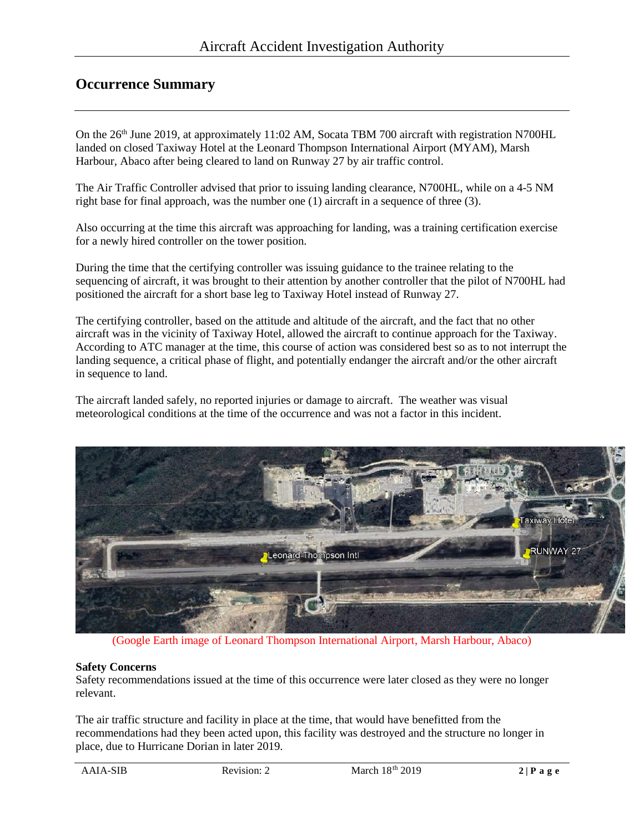### **Occurrence Summary**

On the 26<sup>th</sup> June 2019, at approximately 11:02 AM, Socata TBM 700 aircraft with registration N700HL landed on closed Taxiway Hotel at the Leonard Thompson International Airport (MYAM), Marsh Harbour, Abaco after being cleared to land on Runway 27 by air traffic control.

The Air Traffic Controller advised that prior to issuing landing clearance, N700HL, while on a 4-5 NM right base for final approach, was the number one (1) aircraft in a sequence of three (3).

Also occurring at the time this aircraft was approaching for landing, was a training certification exercise for a newly hired controller on the tower position.

During the time that the certifying controller was issuing guidance to the trainee relating to the sequencing of aircraft, it was brought to their attention by another controller that the pilot of N700HL had positioned the aircraft for a short base leg to Taxiway Hotel instead of Runway 27.

The certifying controller, based on the attitude and altitude of the aircraft, and the fact that no other aircraft was in the vicinity of Taxiway Hotel, allowed the aircraft to continue approach for the Taxiway. According to ATC manager at the time, this course of action was considered best so as to not interrupt the landing sequence, a critical phase of flight, and potentially endanger the aircraft and/or the other aircraft in sequence to land.

The aircraft landed safely, no reported injuries or damage to aircraft. The weather was visual meteorological conditions at the time of the occurrence and was not a factor in this incident.



(Google Earth image of Leonard Thompson International Airport, Marsh Harbour, Abaco)

#### **Safety Concerns**

Safety recommendations issued at the time of this occurrence were later closed as they were no longer relevant.

The air traffic structure and facility in place at the time, that would have benefitted from the recommendations had they been acted upon, this facility was destroyed and the structure no longer in place, due to Hurricane Dorian in later 2019.